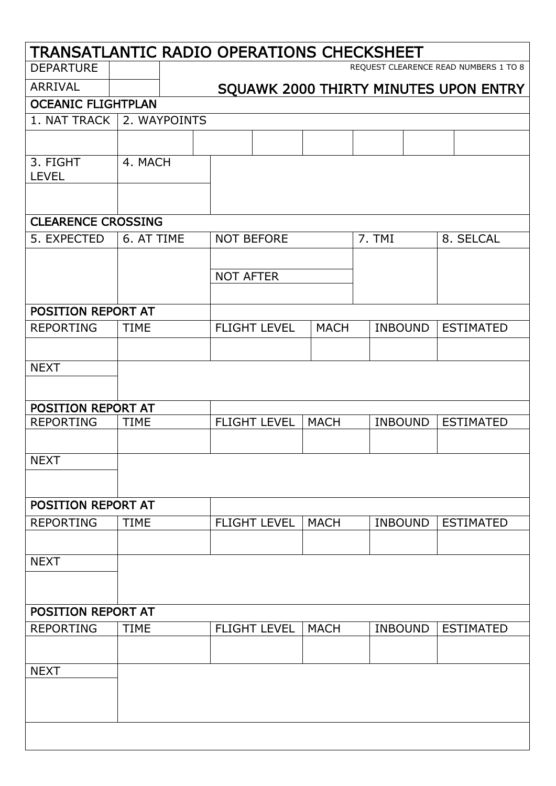| TRANSATLANTIC RADIO OPERATIONS CHECKSHEET |             |              |                   |                     |             |                |                                       |
|-------------------------------------------|-------------|--------------|-------------------|---------------------|-------------|----------------|---------------------------------------|
| <b>DEPARTURE</b>                          |             |              |                   |                     |             |                | REQUEST CLEARENCE READ NUMBERS 1 TO 8 |
| <b>ARRIVAL</b>                            |             |              |                   |                     |             |                | SQUAWK 2000 THIRTY MINUTES UPON ENTRY |
| <b>OCEANIC FLIGHTPLAN</b>                 |             |              |                   |                     |             |                |                                       |
| 1. NAT TRACK                              |             | 2. WAYPOINTS |                   |                     |             |                |                                       |
|                                           |             |              |                   |                     |             |                |                                       |
| 3. FIGHT<br><b>LEVEL</b>                  | 4. MACH     |              |                   |                     |             |                |                                       |
|                                           |             |              |                   |                     |             |                |                                       |
| <b>CLEARENCE CROSSING</b>                 |             |              |                   |                     |             |                |                                       |
| 5. EXPECTED                               | 6. AT TIME  |              | <b>NOT BEFORE</b> |                     |             | 7. TMI         | 8. SELCAL                             |
|                                           |             |              | <b>NOT AFTER</b>  |                     |             |                |                                       |
|                                           |             |              |                   |                     |             |                |                                       |
| POSITION REPORT AT                        |             |              |                   |                     |             |                |                                       |
| <b>REPORTING</b>                          | <b>TIME</b> |              |                   | <b>FLIGHT LEVEL</b> | <b>MACH</b> | <b>INBOUND</b> | <b>ESTIMATED</b>                      |
|                                           |             |              |                   |                     |             |                |                                       |
| <b>NEXT</b>                               |             |              |                   |                     |             |                |                                       |
|                                           |             |              |                   |                     |             |                |                                       |
| POSITION REPORT AT                        |             |              |                   |                     |             |                |                                       |
| <b>REPORTING</b>                          | <b>TIME</b> |              |                   | <b>FLIGHT LEVEL</b> | <b>MACH</b> | <b>INBOUND</b> | <b>ESTIMATED</b>                      |
|                                           |             |              |                   |                     |             |                |                                       |
| <b>NEXT</b>                               |             |              |                   |                     |             |                |                                       |
| POSITION REPORT AT                        |             |              |                   |                     |             |                |                                       |
| <b>REPORTING</b>                          | <b>TIME</b> |              |                   | <b>FLIGHT LEVEL</b> | <b>MACH</b> | <b>INBOUND</b> | <b>ESTIMATED</b>                      |
|                                           |             |              |                   |                     |             |                |                                       |
| <b>NEXT</b>                               |             |              |                   |                     |             |                |                                       |
|                                           |             |              |                   |                     |             |                |                                       |
| POSITION REPORT AT                        |             |              |                   |                     |             |                |                                       |
| <b>REPORTING</b>                          | <b>TIME</b> |              |                   | <b>FLIGHT LEVEL</b> | <b>MACH</b> | <b>INBOUND</b> | <b>ESTIMATED</b>                      |
|                                           |             |              |                   |                     |             |                |                                       |
| <b>NEXT</b>                               |             |              |                   |                     |             |                |                                       |
|                                           |             |              |                   |                     |             |                |                                       |
|                                           |             |              |                   |                     |             |                |                                       |
|                                           |             |              |                   |                     |             |                |                                       |
|                                           |             |              |                   |                     |             |                |                                       |